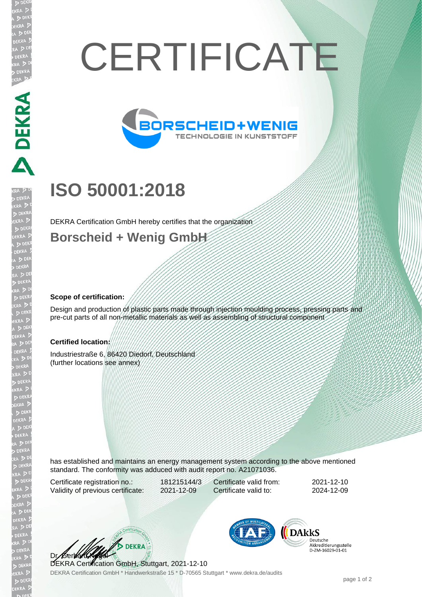# **CERTIFICATE**



# **ISO 50001:2018**

DEKRA Certification GmbH hereby certifies that the organization

### **Borscheid + Wenig GmbH**

#### **Scope of certification:**

A PERRA EN A PERRA

EKR

Design and production of plastic parts made through injection moulding process, pressing parts and pre-cut parts of all non-metallic materials as well as assembling of structural component

#### **Certified location:**

Industriestraße 6, 86420 Diedorf, Deutschland (further locations see annex)

has established and maintains an energy management system according to the above mentioned standard. The conformity was adduced with audit report no. A21071036.

Certificate registration no.: 181215144/3 Validity of previous certificate: 2021-12-09

Certificate valid from: 2021-12-10 Certificate valid to: 2024-12-09

**BEKRA** Dr. Gerla

DEKRA Certification GmbH \* Handwerkstraße 15 \* D-70565 Stuttgart \* www.dekra.de/audits DEKRA Certification GmbH, Stuttgart, 2021-12-10



**DARKS** Deutsche Beatsene<br>Akkreditierungsstelle<br>D-ZM-16029-01-01